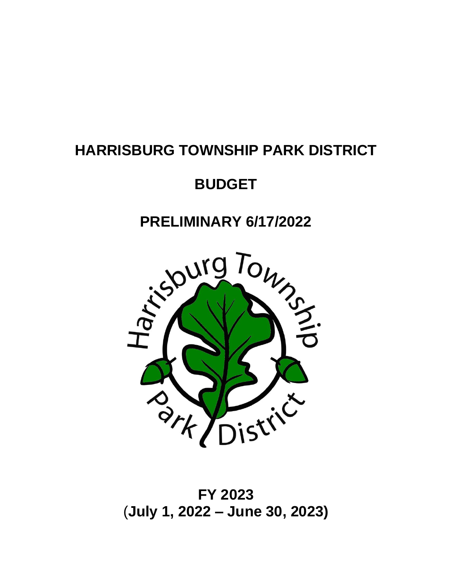# **HARRISBURG TOWNSHIP PARK DISTRICT**

# **BUDGET**

# **PRELIMINARY 6/17/2022**



# **FY 2023** (**July 1, 2022 – June 30, 2023)**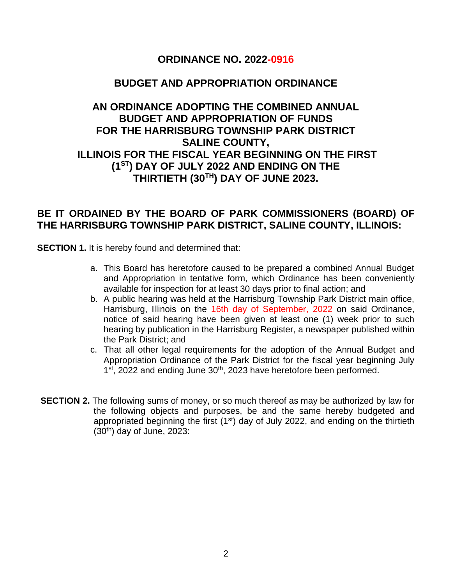## **ORDINANCE NO. 2022-0916**

### **BUDGET AND APPROPRIATION ORDINANCE**

# **AN ORDINANCE ADOPTING THE COMBINED ANNUAL BUDGET AND APPROPRIATION OF FUNDS FOR THE HARRISBURG TOWNSHIP PARK DISTRICT SALINE COUNTY, ILLINOIS FOR THE FISCAL YEAR BEGINNING ON THE FIRST (1ST) DAY OF JULY 2022 AND ENDING ON THE THIRTIETH (30TH) DAY OF JUNE 2023.**

### **BE IT ORDAINED BY THE BOARD OF PARK COMMISSIONERS (BOARD) OF THE HARRISBURG TOWNSHIP PARK DISTRICT, SALINE COUNTY, ILLINOIS:**

**SECTION 1.** It is hereby found and determined that:

- a. This Board has heretofore caused to be prepared a combined Annual Budget and Appropriation in tentative form, which Ordinance has been conveniently available for inspection for at least 30 days prior to final action; and
- b. A public hearing was held at the Harrisburg Township Park District main office, Harrisburg, Illinois on the 16th day of September, 2022 on said Ordinance, notice of said hearing have been given at least one (1) week prior to such hearing by publication in the Harrisburg Register, a newspaper published within the Park District; and
- c. That all other legal requirements for the adoption of the Annual Budget and Appropriation Ordinance of the Park District for the fiscal year beginning July 1<sup>st</sup>, 2022 and ending June 30<sup>th</sup>, 2023 have heretofore been performed.
- **SECTION 2.** The following sums of money, or so much thereof as may be authorized by law for the following objects and purposes, be and the same hereby budgeted and appropriated beginning the first (1<sup>st</sup>) day of July 2022, and ending on the thirtieth  $(30<sup>th</sup>)$  day of June, 2023: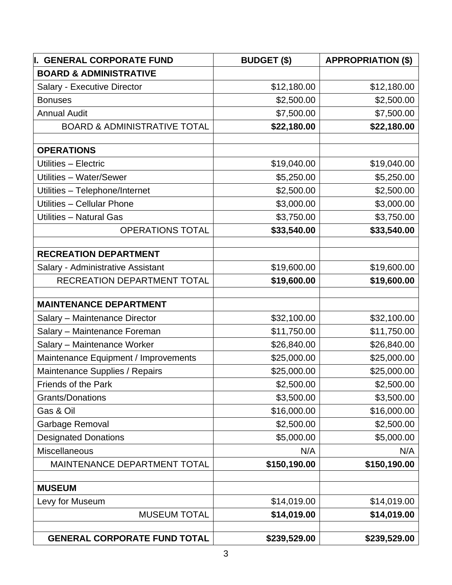| I. GENERAL CORPORATE FUND               | <b>BUDGET (\$)</b> | <b>APPROPRIATION (\$)</b> |
|-----------------------------------------|--------------------|---------------------------|
| <b>BOARD &amp; ADMINISTRATIVE</b>       |                    |                           |
| Salary - Executive Director             | \$12,180.00        | \$12,180.00               |
| <b>Bonuses</b>                          | \$2,500.00         | \$2,500.00                |
| <b>Annual Audit</b>                     | \$7,500.00         | \$7,500.00                |
| <b>BOARD &amp; ADMINISTRATIVE TOTAL</b> | \$22,180.00        | \$22,180.00               |
| <b>OPERATIONS</b>                       |                    |                           |
| Utilities - Electric                    | \$19,040.00        | \$19,040.00               |
| Utilities - Water/Sewer                 | \$5,250.00         | \$5,250.00                |
| Utilities - Telephone/Internet          | \$2,500.00         | \$2,500.00                |
| Utilities - Cellular Phone              | \$3,000.00         | \$3,000.00                |
| <b>Utilities - Natural Gas</b>          | \$3,750.00         | \$3,750.00                |
| <b>OPERATIONS TOTAL</b>                 | \$33,540.00        | \$33,540.00               |
| <b>RECREATION DEPARTMENT</b>            |                    |                           |
| Salary - Administrative Assistant       | \$19,600.00        | \$19,600.00               |
| RECREATION DEPARTMENT TOTAL             | \$19,600.00        | \$19,600.00               |
| <b>MAINTENANCE DEPARTMENT</b>           |                    |                           |
| Salary - Maintenance Director           | \$32,100.00        | \$32,100.00               |
| Salary - Maintenance Foreman            | \$11,750.00        | \$11,750.00               |
| Salary - Maintenance Worker             | \$26,840.00        | \$26,840.00               |
| Maintenance Equipment / Improvements    | \$25,000.00        | \$25,000.00               |
| Maintenance Supplies / Repairs          | \$25,000.00        | \$25,000.00               |
| Friends of the Park                     | \$2,500.00         | \$2,500.00                |
| <b>Grants/Donations</b>                 | \$3,500.00         | \$3,500.00                |
| Gas & Oil                               | \$16,000.00        | \$16,000.00               |
| Garbage Removal                         | \$2,500.00         | \$2,500.00                |
| <b>Designated Donations</b>             | \$5,000.00         | \$5,000.00                |
| <b>Miscellaneous</b>                    | N/A                | N/A                       |
| MAINTENANCE DEPARTMENT TOTAL            | \$150,190.00       | \$150,190.00              |
| <b>MUSEUM</b>                           |                    |                           |
| Levy for Museum                         | \$14,019.00        | \$14,019.00               |
| <b>MUSEUM TOTAL</b>                     | \$14,019.00        | \$14,019.00               |
| <b>GENERAL CORPORATE FUND TOTAL</b>     | \$239,529.00       | \$239,529.00              |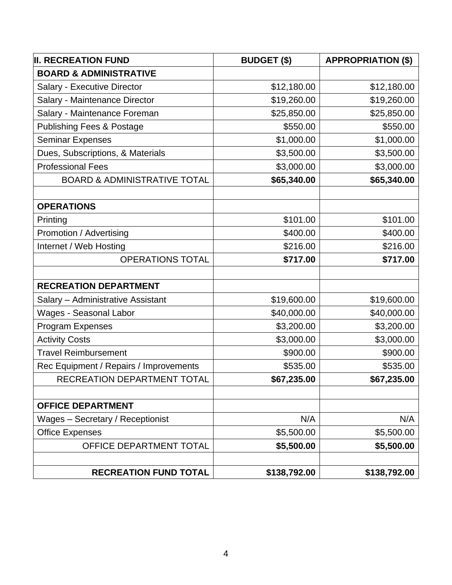| <b>II. RECREATION FUND</b>              | <b>BUDGET (\$)</b> | <b>APPROPRIATION (\$)</b> |
|-----------------------------------------|--------------------|---------------------------|
| <b>BOARD &amp; ADMINISTRATIVE</b>       |                    |                           |
| Salary - Executive Director             | \$12,180.00        | \$12,180.00               |
| Salary - Maintenance Director           | \$19,260.00        | \$19,260.00               |
| Salary - Maintenance Foreman            | \$25,850.00        | \$25,850.00               |
| <b>Publishing Fees &amp; Postage</b>    | \$550.00           | \$550.00                  |
| <b>Seminar Expenses</b>                 | \$1,000.00         | \$1,000.00                |
| Dues, Subscriptions, & Materials        | \$3,500.00         | \$3,500.00                |
| <b>Professional Fees</b>                | \$3,000.00         | \$3,000.00                |
| <b>BOARD &amp; ADMINISTRATIVE TOTAL</b> | \$65,340.00        | \$65,340.00               |
| <b>OPERATIONS</b>                       |                    |                           |
| Printing                                | \$101.00           | \$101.00                  |
| Promotion / Advertising                 | \$400.00           | \$400.00                  |
| Internet / Web Hosting                  | \$216.00           | \$216.00                  |
| <b>OPERATIONS TOTAL</b>                 | \$717.00           | \$717.00                  |
| <b>RECREATION DEPARTMENT</b>            |                    |                           |
| Salary - Administrative Assistant       | \$19,600.00        | \$19,600.00               |
| <b>Wages - Seasonal Labor</b>           | \$40,000.00        | \$40,000.00               |
| Program Expenses                        | \$3,200.00         | \$3,200.00                |
| <b>Activity Costs</b>                   | \$3,000.00         | \$3,000.00                |
| <b>Travel Reimbursement</b>             | \$900.00           | \$900.00                  |
| Rec Equipment / Repairs / Improvements  | \$535.00           | \$535.00                  |
| RECREATION DEPARTMENT TOTAL             | \$67,235.00        | \$67,235.00               |
| <b>OFFICE DEPARTMENT</b>                |                    |                           |
| Wages - Secretary / Receptionist        | N/A                | N/A                       |
| <b>Office Expenses</b>                  | \$5,500.00         | \$5,500.00                |
| OFFICE DEPARTMENT TOTAL                 | \$5,500.00         | \$5,500.00                |
| <b>RECREATION FUND TOTAL</b>            | \$138,792.00       | \$138,792.00              |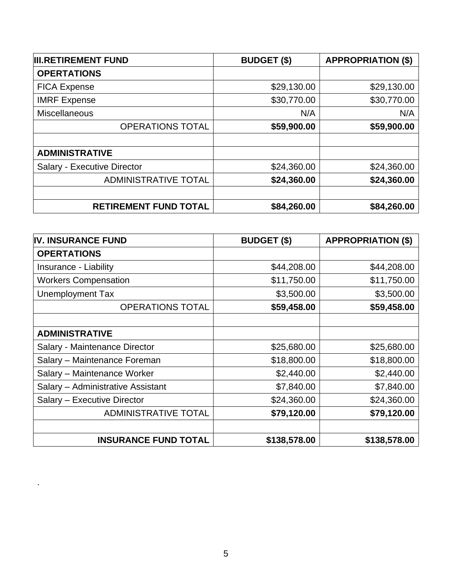| <b>III.RETIREMENT FUND</b>   | <b>BUDGET (\$)</b> | <b>APPROPRIATION (\$)</b> |
|------------------------------|--------------------|---------------------------|
| <b>OPERTATIONS</b>           |                    |                           |
| <b>FICA Expense</b>          | \$29,130.00        | \$29,130.00               |
| <b>IMRF</b> Expense          | \$30,770.00        | \$30,770.00               |
| Miscellaneous                | N/A                | N/A                       |
| <b>OPERATIONS TOTAL</b>      | \$59,900.00        | \$59,900.00               |
|                              |                    |                           |
| <b>ADMINISTRATIVE</b>        |                    |                           |
| Salary - Executive Director  | \$24,360.00        | \$24,360.00               |
| <b>ADMINISTRATIVE TOTAL</b>  | \$24,360.00        | \$24,360.00               |
|                              |                    |                           |
| <b>RETIREMENT FUND TOTAL</b> | \$84,260.00        | \$84,260.00               |

| <b>IV. INSURANCE FUND</b>         | <b>BUDGET (\$)</b> | <b>APPROPRIATION (\$)</b> |
|-----------------------------------|--------------------|---------------------------|
| <b>OPERTATIONS</b>                |                    |                           |
| Insurance - Liability             | \$44,208.00        | \$44,208.00               |
| <b>Workers Compensation</b>       | \$11,750.00        | \$11,750.00               |
| <b>Unemployment Tax</b>           | \$3,500.00         | \$3,500.00                |
| <b>OPERATIONS TOTAL</b>           | \$59,458.00        | \$59,458.00               |
|                                   |                    |                           |
| <b>ADMINISTRATIVE</b>             |                    |                           |
| Salary - Maintenance Director     | \$25,680.00        | \$25,680.00               |
| Salary - Maintenance Foreman      | \$18,800.00        | \$18,800.00               |
| Salary - Maintenance Worker       | \$2,440.00         | \$2,440.00                |
| Salary - Administrative Assistant | \$7,840.00         | \$7,840.00                |
| Salary - Executive Director       | \$24,360.00        | \$24,360.00               |
| <b>ADMINISTRATIVE TOTAL</b>       | \$79,120.00        | \$79,120.00               |
|                                   |                    |                           |
| <b>INSURANCE FUND TOTAL</b>       | \$138,578.00       | \$138,578.00              |

.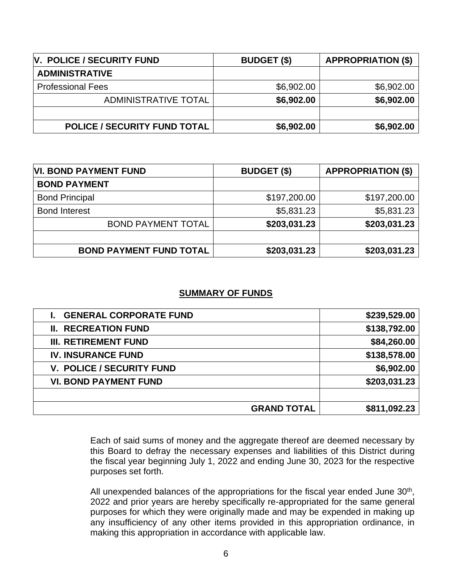| <b>V. POLICE / SECURITY FUND</b>    | <b>BUDGET (\$)</b> | <b>APPROPRIATION (\$)</b> |
|-------------------------------------|--------------------|---------------------------|
| <b>ADMINISTRATIVE</b>               |                    |                           |
| <b>Professional Fees</b>            | \$6,902.00         | \$6,902.00                |
| ADMINISTRATIVE TOTAL                | \$6,902.00         | \$6,902.00                |
|                                     |                    |                           |
| <b>POLICE / SECURITY FUND TOTAL</b> | \$6,902.00         | \$6,902.00                |

| <b>VI. BOND PAYMENT FUND</b>   | <b>BUDGET (\$)</b> | <b>APPROPRIATION (\$)</b> |
|--------------------------------|--------------------|---------------------------|
| <b>BOND PAYMENT</b>            |                    |                           |
| <b>Bond Principal</b>          | \$197,200.00       | \$197,200.00              |
| <b>Bond Interest</b>           | \$5,831.23         | \$5,831.23                |
| <b>BOND PAYMENT TOTAL</b>      | \$203,031.23       | \$203,031.23              |
|                                |                    |                           |
| <b>BOND PAYMENT FUND TOTAL</b> | \$203,031.23       | \$203,031.23              |

#### **SUMMARY OF FUNDS**

| <b>GRAND TOTAL</b>            | \$811,092.23 |
|-------------------------------|--------------|
| <b>VI. BOND PAYMENT FUND</b>  | \$203,031.23 |
| V. POLICE / SECURITY FUND     | \$6,902.00   |
| <b>IV. INSURANCE FUND</b>     | \$138,578.00 |
| <b>III. RETIREMENT FUND</b>   | \$84,260.00  |
| <b>II. RECREATION FUND</b>    | \$138,792.00 |
| <b>GENERAL CORPORATE FUND</b> | \$239,529.00 |

Each of said sums of money and the aggregate thereof are deemed necessary by this Board to defray the necessary expenses and liabilities of this District during the fiscal year beginning July 1, 2022 and ending June 30, 2023 for the respective purposes set forth.

All unexpended balances of the appropriations for the fiscal year ended June  $30<sup>th</sup>$ , 2022 and prior years are hereby specifically re-appropriated for the same general purposes for which they were originally made and may be expended in making up any insufficiency of any other items provided in this appropriation ordinance, in making this appropriation in accordance with applicable law.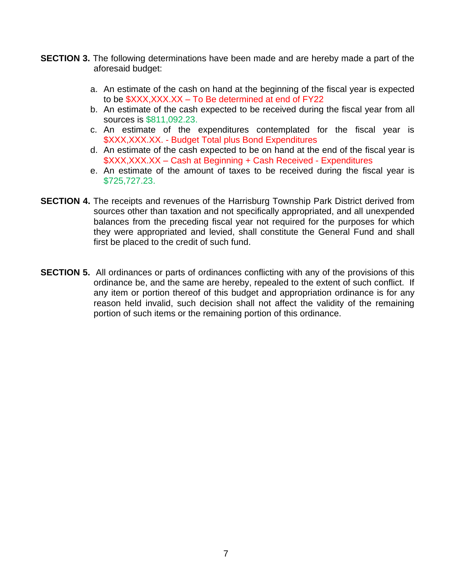- **SECTION 3.** The following determinations have been made and are hereby made a part of the aforesaid budget:
	- a. An estimate of the cash on hand at the beginning of the fiscal year is expected to be \$XXX,XXX.XX – To Be determined at end of FY22
	- b. An estimate of the cash expected to be received during the fiscal year from all sources is \$811,092.23.
	- c. An estimate of the expenditures contemplated for the fiscal year is \$XXX,XXX.XX. - Budget Total plus Bond Expenditures
	- d. An estimate of the cash expected to be on hand at the end of the fiscal year is \$XXX,XXX.XX – Cash at Beginning + Cash Received - Expenditures
	- e. An estimate of the amount of taxes to be received during the fiscal year is \$725,727.23.
- **SECTION 4.** The receipts and revenues of the Harrisburg Township Park District derived from sources other than taxation and not specifically appropriated, and all unexpended balances from the preceding fiscal year not required for the purposes for which they were appropriated and levied, shall constitute the General Fund and shall first be placed to the credit of such fund.
- **SECTION 5.** All ordinances or parts of ordinances conflicting with any of the provisions of this ordinance be, and the same are hereby, repealed to the extent of such conflict. If any item or portion thereof of this budget and appropriation ordinance is for any reason held invalid, such decision shall not affect the validity of the remaining portion of such items or the remaining portion of this ordinance.